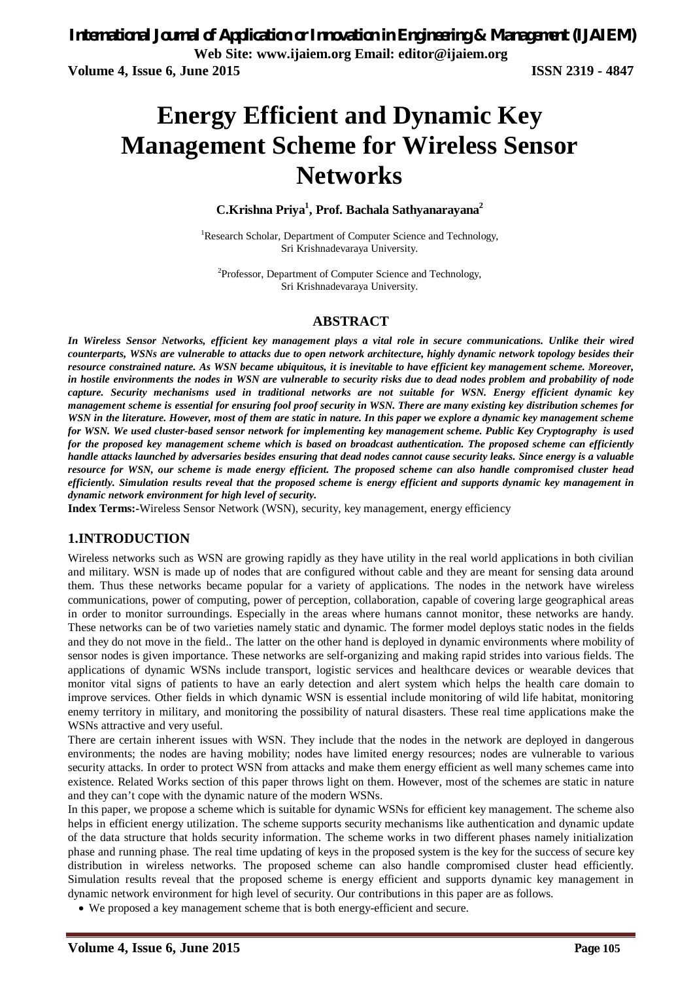*International Journal of Application or Innovation in Engineering & Management (IJAIEM)* **Web Site: www.ijaiem.org Email: editor@ijaiem.org Volume 4, Issue 6, June 2015 ISSN 2319 - 4847**

# **Energy Efficient and Dynamic Key Management Scheme for Wireless Sensor Networks**

#### **C.Krishna Priya<sup>1</sup> , Prof. Bachala Sathyanarayana<sup>2</sup>**

<sup>1</sup>Research Scholar, Department of Computer Science and Technology, Sri Krishnadevaraya University.

<sup>2</sup>Professor, Department of Computer Science and Technology, Sri Krishnadevaraya University.

#### **ABSTRACT**

*In Wireless Sensor Networks, efficient key management plays a vital role in secure communications. Unlike their wired counterparts, WSNs are vulnerable to attacks due to open network architecture, highly dynamic network topology besides their resource constrained nature. As WSN became ubiquitous, it is inevitable to have efficient key management scheme. Moreover, in hostile environments the nodes in WSN are vulnerable to security risks due to dead nodes problem and probability of node capture. Security mechanisms used in traditional networks are not suitable for WSN. Energy efficient dynamic key management scheme is essential for ensuring fool proof security in WSN. There are many existing key distribution schemes for WSN in the literature. However, most of them are static in nature. In this paper we explore a dynamic key management scheme for WSN. We used cluster-based sensor network for implementing key management scheme. Public Key Cryptography is used for the proposed key management scheme which is based on broadcast authentication. The proposed scheme can efficiently handle attacks launched by adversaries besides ensuring that dead nodes cannot cause security leaks. Since energy is a valuable resource for WSN, our scheme is made energy efficient. The proposed scheme can also handle compromised cluster head efficiently. Simulation results reveal that the proposed scheme is energy efficient and supports dynamic key management in dynamic network environment for high level of security.* 

**Index Terms:-**Wireless Sensor Network (WSN), security, key management, energy efficiency

#### **1.INTRODUCTION**

Wireless networks such as WSN are growing rapidly as they have utility in the real world applications in both civilian and military. WSN is made up of nodes that are configured without cable and they are meant for sensing data around them. Thus these networks became popular for a variety of applications. The nodes in the network have wireless communications, power of computing, power of perception, collaboration, capable of covering large geographical areas in order to monitor surroundings. Especially in the areas where humans cannot monitor, these networks are handy. These networks can be of two varieties namely static and dynamic. The former model deploys static nodes in the fields and they do not move in the field.. The latter on the other hand is deployed in dynamic environments where mobility of sensor nodes is given importance. These networks are self-organizing and making rapid strides into various fields. The applications of dynamic WSNs include transport, logistic services and healthcare devices or wearable devices that monitor vital signs of patients to have an early detection and alert system which helps the health care domain to improve services. Other fields in which dynamic WSN is essential include monitoring of wild life habitat, monitoring enemy territory in military, and monitoring the possibility of natural disasters. These real time applications make the WSNs attractive and very useful.

There are certain inherent issues with WSN. They include that the nodes in the network are deployed in dangerous environments; the nodes are having mobility; nodes have limited energy resources; nodes are vulnerable to various security attacks. In order to protect WSN from attacks and make them energy efficient as well many schemes came into existence. Related Works section of this paper throws light on them. However, most of the schemes are static in nature and they can't cope with the dynamic nature of the modern WSNs.

In this paper, we propose a scheme which is suitable for dynamic WSNs for efficient key management. The scheme also helps in efficient energy utilization. The scheme supports security mechanisms like authentication and dynamic update of the data structure that holds security information. The scheme works in two different phases namely initialization phase and running phase. The real time updating of keys in the proposed system is the key for the success of secure key distribution in wireless networks. The proposed scheme can also handle compromised cluster head efficiently. Simulation results reveal that the proposed scheme is energy efficient and supports dynamic key management in dynamic network environment for high level of security. Our contributions in this paper are as follows.

We proposed a key management scheme that is both energy-efficient and secure.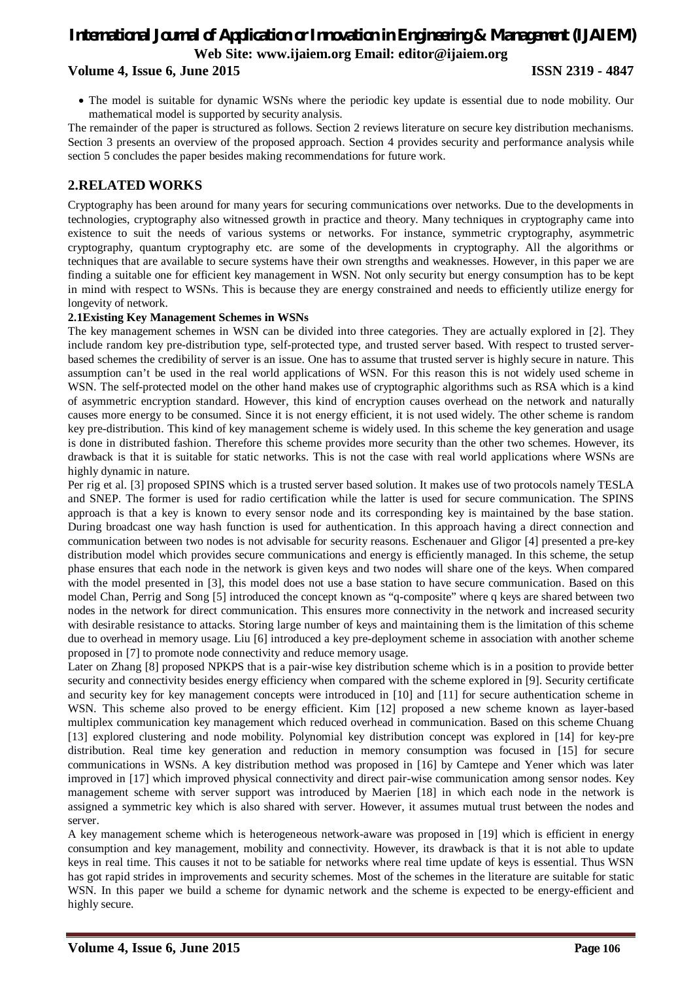#### **Volume 4, Issue 6, June 2015 ISSN 2319 - 4847**

 The model is suitable for dynamic WSNs where the periodic key update is essential due to node mobility. Our mathematical model is supported by security analysis.

The remainder of the paper is structured as follows. Section 2 reviews literature on secure key distribution mechanisms. Section 3 presents an overview of the proposed approach. Section 4 provides security and performance analysis while section 5 concludes the paper besides making recommendations for future work.

#### **2.RELATED WORKS**

Cryptography has been around for many years for securing communications over networks. Due to the developments in technologies, cryptography also witnessed growth in practice and theory. Many techniques in cryptography came into existence to suit the needs of various systems or networks. For instance, symmetric cryptography, asymmetric cryptography, quantum cryptography etc. are some of the developments in cryptography. All the algorithms or techniques that are available to secure systems have their own strengths and weaknesses. However, in this paper we are finding a suitable one for efficient key management in WSN. Not only security but energy consumption has to be kept in mind with respect to WSNs. This is because they are energy constrained and needs to efficiently utilize energy for longevity of network.

#### **2.1Existing Key Management Schemes in WSNs**

The key management schemes in WSN can be divided into three categories. They are actually explored in [2]. They include random key pre-distribution type, self-protected type, and trusted server based. With respect to trusted serverbased schemes the credibility of server is an issue. One has to assume that trusted server is highly secure in nature. This assumption can't be used in the real world applications of WSN. For this reason this is not widely used scheme in WSN. The self-protected model on the other hand makes use of cryptographic algorithms such as RSA which is a kind of asymmetric encryption standard. However, this kind of encryption causes overhead on the network and naturally causes more energy to be consumed. Since it is not energy efficient, it is not used widely. The other scheme is random key pre-distribution. This kind of key management scheme is widely used. In this scheme the key generation and usage is done in distributed fashion. Therefore this scheme provides more security than the other two schemes. However, its drawback is that it is suitable for static networks. This is not the case with real world applications where WSNs are highly dynamic in nature.

Per rig et al. [3] proposed SPINS which is a trusted server based solution. It makes use of two protocols namely TESLA and SNEP. The former is used for radio certification while the latter is used for secure communication. The SPINS approach is that a key is known to every sensor node and its corresponding key is maintained by the base station. During broadcast one way hash function is used for authentication. In this approach having a direct connection and communication between two nodes is not advisable for security reasons. Eschenauer and Gligor [4] presented a pre-key distribution model which provides secure communications and energy is efficiently managed. In this scheme, the setup phase ensures that each node in the network is given keys and two nodes will share one of the keys. When compared with the model presented in [3], this model does not use a base station to have secure communication. Based on this model Chan, Perrig and Song [5] introduced the concept known as "q-composite" where q keys are shared between two nodes in the network for direct communication. This ensures more connectivity in the network and increased security with desirable resistance to attacks. Storing large number of keys and maintaining them is the limitation of this scheme due to overhead in memory usage. Liu [6] introduced a key pre-deployment scheme in association with another scheme proposed in [7] to promote node connectivity and reduce memory usage.

Later on Zhang [8] proposed NPKPS that is a pair-wise key distribution scheme which is in a position to provide better security and connectivity besides energy efficiency when compared with the scheme explored in [9]. Security certificate and security key for key management concepts were introduced in [10] and [11] for secure authentication scheme in WSN. This scheme also proved to be energy efficient. Kim [12] proposed a new scheme known as layer-based multiplex communication key management which reduced overhead in communication. Based on this scheme Chuang [13] explored clustering and node mobility. Polynomial key distribution concept was explored in [14] for key-pre distribution. Real time key generation and reduction in memory consumption was focused in [15] for secure communications in WSNs. A key distribution method was proposed in [16] by Camtepe and Yener which was later improved in [17] which improved physical connectivity and direct pair-wise communication among sensor nodes. Key management scheme with server support was introduced by Maerien [18] in which each node in the network is assigned a symmetric key which is also shared with server. However, it assumes mutual trust between the nodes and server.

A key management scheme which is heterogeneous network-aware was proposed in [19] which is efficient in energy consumption and key management, mobility and connectivity. However, its drawback is that it is not able to update keys in real time. This causes it not to be satiable for networks where real time update of keys is essential. Thus WSN has got rapid strides in improvements and security schemes. Most of the schemes in the literature are suitable for static WSN. In this paper we build a scheme for dynamic network and the scheme is expected to be energy-efficient and highly secure.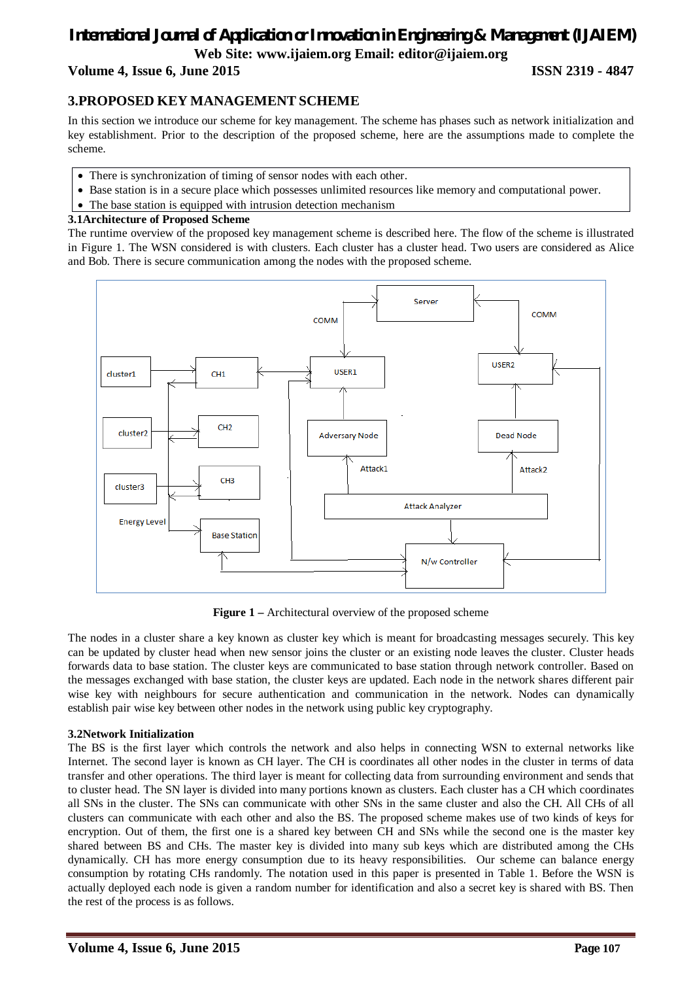#### **Volume 4, Issue 6, June 2015 ISSN 2319 - 4847**

#### **3.PROPOSED KEY MANAGEMENT SCHEME**

In this section we introduce our scheme for key management. The scheme has phases such as network initialization and key establishment. Prior to the description of the proposed scheme, here are the assumptions made to complete the scheme.

- There is synchronization of timing of sensor nodes with each other.
- Base station is in a secure place which possesses unlimited resources like memory and computational power.
- The base station is equipped with intrusion detection mechanism

#### **3.1Architecture of Proposed Scheme**

The runtime overview of the proposed key management scheme is described here. The flow of the scheme is illustrated in Figure 1. The WSN considered is with clusters. Each cluster has a cluster head. Two users are considered as Alice and Bob. There is secure communication among the nodes with the proposed scheme.



**Figure 1 –** Architectural overview of the proposed scheme

The nodes in a cluster share a key known as cluster key which is meant for broadcasting messages securely. This key can be updated by cluster head when new sensor joins the cluster or an existing node leaves the cluster. Cluster heads forwards data to base station. The cluster keys are communicated to base station through network controller. Based on the messages exchanged with base station, the cluster keys are updated. Each node in the network shares different pair wise key with neighbours for secure authentication and communication in the network. Nodes can dynamically establish pair wise key between other nodes in the network using public key cryptography.

#### **3.2Network Initialization**

The BS is the first layer which controls the network and also helps in connecting WSN to external networks like Internet. The second layer is known as CH layer. The CH is coordinates all other nodes in the cluster in terms of data transfer and other operations. The third layer is meant for collecting data from surrounding environment and sends that to cluster head. The SN layer is divided into many portions known as clusters. Each cluster has a CH which coordinates all SNs in the cluster. The SNs can communicate with other SNs in the same cluster and also the CH. All CHs of all clusters can communicate with each other and also the BS. The proposed scheme makes use of two kinds of keys for encryption. Out of them, the first one is a shared key between CH and SNs while the second one is the master key shared between BS and CHs. The master key is divided into many sub keys which are distributed among the CHs dynamically. CH has more energy consumption due to its heavy responsibilities. Our scheme can balance energy consumption by rotating CHs randomly. The notation used in this paper is presented in Table 1. Before the WSN is actually deployed each node is given a random number for identification and also a secret key is shared with BS. Then the rest of the process is as follows.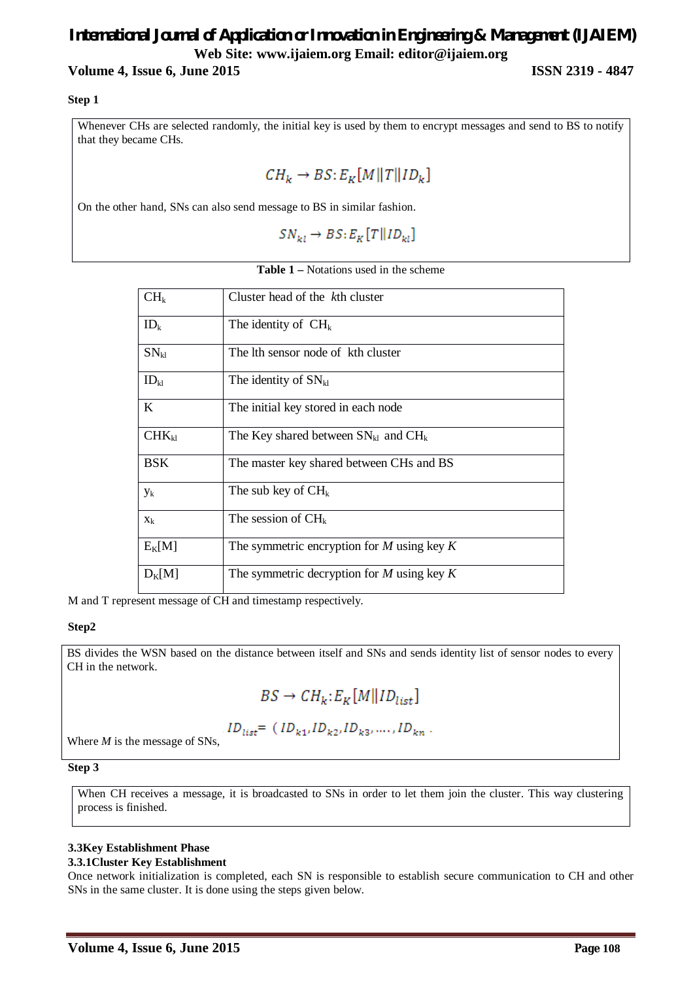#### **Volume 4, Issue 6, June 2015 ISSN 2319 - 4847**

#### **Step 1**

Whenever CHs are selected randomly, the initial key is used by them to encrypt messages and send to BS to notify that they became CHs.

 $CH_k \rightarrow BS: E_K[M||T||ID_k]$ 

On the other hand, SNs can also send message to BS in similar fashion.

 $SN_{kl} \rightarrow BS: E_K[T||ID_{kl}]$ 

|  |  |  | <b>Table 1</b> – Notations used in the scheme |
|--|--|--|-----------------------------------------------|
|--|--|--|-----------------------------------------------|

| CH <sub>k</sub> | Cluster head of the kth cluster                |
|-----------------|------------------------------------------------|
| $ID_k$          | The identity of $CH_k$                         |
| $SN_{kl}$       | The lth sensor node of kth cluster             |
| $ID_{kl}$       | The identity of $SN_{kl}$                      |
| K               | The initial key stored in each node            |
| $CHK_{kl}$      | The Key shared between $SN_{kl}$ and $CH_k$    |
| <b>BSK</b>      | The master key shared between CHs and BS       |
| $y_k$           | The sub key of $CH_k$                          |
| $X_k$           | The session of $CH_k$                          |
| $E_K[M]$        | The symmetric encryption for $M$ using key $K$ |
| $D_K[M]$        | The symmetric decryption for $M$ using key $K$ |

M and T represent message of CH and timestamp respectively.

#### **Step2**

BS divides the WSN based on the distance between itself and SNs and sends identity list of sensor nodes to every CH in the network.

$$
BS \rightarrow CH_k: E_K[M \Vert ID_{list}]
$$

$$
ID_{list} = (ID_{k1}, ID_{k2}, ID_{k3}, ..., ID_{kn} .
$$

Where *M* is the message of SNs,

#### **Step 3**

When CH receives a message, it is broadcasted to SNs in order to let them join the cluster. This way clustering process is finished.

#### **3.3Key Establishment Phase**

#### **3.3.1Cluster Key Establishment**

Once network initialization is completed, each SN is responsible to establish secure communication to CH and other SNs in the same cluster. It is done using the steps given below.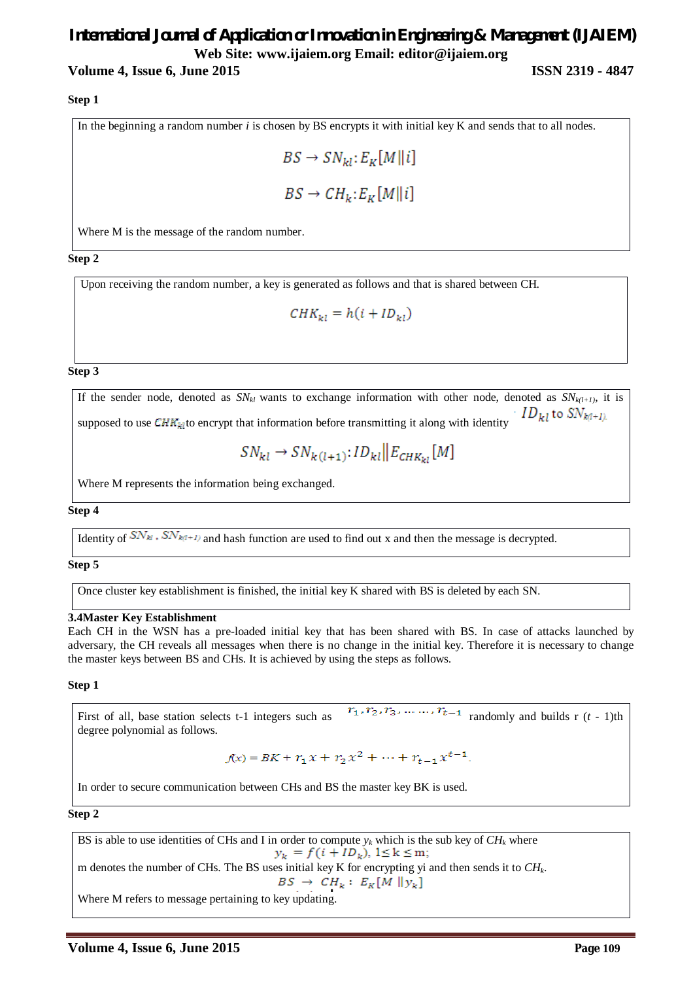#### **Volume 4, Issue 6, June 2015 ISSN 2319 - 4847**

#### **Step 1**

In the beginning a random number *i* is chosen by BS encrypts it with initial key K and sends that to all nodes.

$$
BS \to SN_{kl}: E_K[M \mid \mid i]
$$
  

$$
BS \to CH_k: E_K[M \mid \mid i]
$$

Where M is the message of the random number.

**Step 2**

Upon receiving the random number, a key is generated as follows and that is shared between CH.

 $CHK_{\nu i} = h(i + ID_{\nu i})$ 

#### **Step 3**

If the sender node, denoted as  $SN_{kl}$  wants to exchange information with other node, denoted as  $SN_{kl+1}$ , it is  $\cdot$   $ID_{kl}$  to  $SN_{k(l+1)l}$ supposed to use  $\text{CHR}_{\text{M}}$  to encrypt that information before transmitting it along with identity

$$
SN_{kl} \rightarrow SN_{k(l+1)}: ID_{kl} \parallel E_{CHK_{kl}}[M]
$$

Where M represents the information being exchanged.

#### **Step 4**

Identity of  $SN_{kl}$ ,  $SN_{kl+1}$  and hash function are used to find out x and then the message is decrypted.

#### **Step 5**

Once cluster key establishment is finished, the initial key K shared with BS is deleted by each SN.

#### **3.4Master Key Establishment**

Each CH in the WSN has a pre-loaded initial key that has been shared with BS. In case of attacks launched by adversary, the CH reveals all messages when there is no change in the initial key. Therefore it is necessary to change the master keys between BS and CHs. It is achieved by using the steps as follows.

#### **Step 1**

First of all, base station selects t-1 integers such as  $r_1, r_2, r_3, \ldots, r_{t-1}$  randomly and builds r (*t* - 1)th degree polynomial as follows.

$$
f(x) = BK + r_1 x + r_2 x^2 + \dots + r_{t-1} x^{t-1}.
$$

In order to secure communication between CHs and BS the master key BK is used.

**Step 2** 

BS is able to use identities of CHs and I in order to compute  $y_k$  which is the sub key of  $CH_k$  where  $y_k = f(i + ID_k), 1 \le k \le m;$ m denotes the number of CHs. The BS uses initial key K for encrypting yi and then sends it to  $CH_k$ .  $BS \rightarrow CH_k : E_K[M \parallel y_k]$ Where M refers to message pertaining to key updating.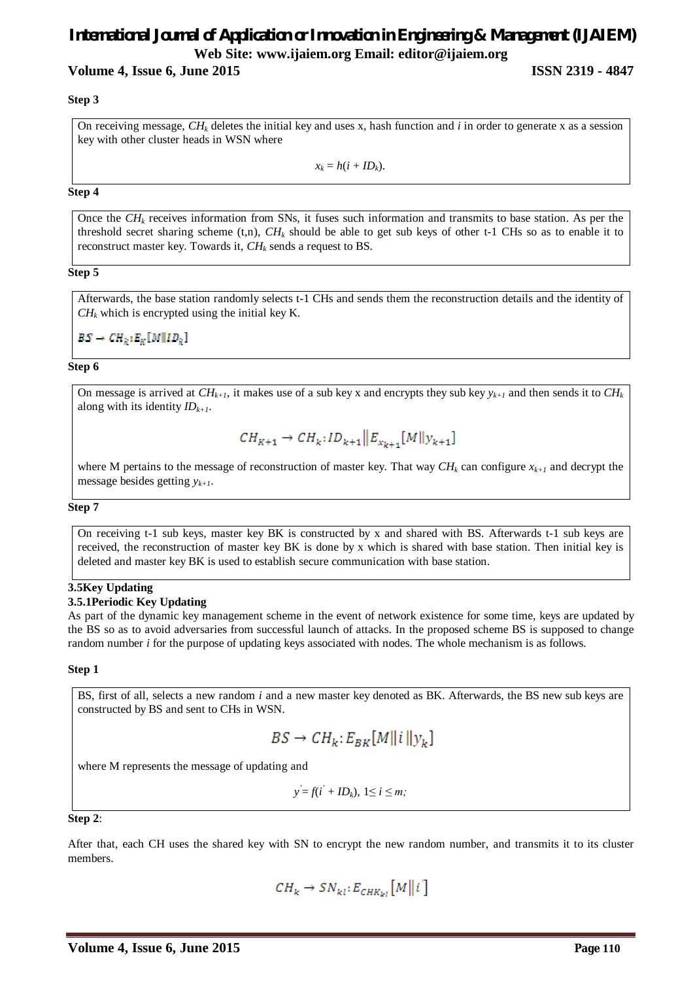#### **Volume 4, Issue 6, June 2015 ISSN 2319 - 4847**

#### **Step 3**

On receiving message,  $CH_k$  deletes the initial key and uses x, hash function and *i* in order to generate x as a session key with other cluster heads in WSN where

 $x_k = h(i + ID_k)$ .

#### **Step 4**

Once the *CH<sup>k</sup>* receives information from SNs, it fuses such information and transmits to base station. As per the threshold secret sharing scheme (t,n),  $CH_k$  should be able to get sub keys of other t-1 CHs so as to enable it to reconstruct master key. Towards it, *CH<sup>k</sup>* sends a request to BS.

#### **Step 5**

Afterwards, the base station randomly selects t-1 CHs and sends them the reconstruction details and the identity of  $CH_k$  which is encrypted using the initial key K.

 $BS \rightarrow CH_k: E_k[M||ID_k]$ 

#### **Step 6**

On message is arrived at  $CH_{k+1}$ , it makes use of a sub key x and encrypts they sub key  $y_{k+1}$  and then sends it to  $CH_k$ along with its identity *IDk+1*.

$$
CH_{K+1} \to CH_k: ID_{k+1} || E_{x_{k+1}}[M||y_{k+1}]
$$

where M pertains to the message of reconstruction of master key. That way  $CH_k$  can configure  $x_{k+1}$  and decrypt the message besides getting *yk+1*.

#### **Step 7**

On receiving t-1 sub keys, master key BK is constructed by x and shared with BS. Afterwards t-1 sub keys are received, the reconstruction of master key BK is done by x which is shared with base station. Then initial key is deleted and master key BK is used to establish secure communication with base station.

#### **3.5Key Updating**

#### **3.5.1Periodic Key Updating**

As part of the dynamic key management scheme in the event of network existence for some time, keys are updated by the BS so as to avoid adversaries from successful launch of attacks. In the proposed scheme BS is supposed to change random number *i* for the purpose of updating keys associated with nodes. The whole mechanism is as follows.

#### **Step 1**

BS, first of all, selects a new random *i* and a new master key denoted as BK. Afterwards, the BS new sub keys are constructed by BS and sent to CHs in WSN.

$$
BS \to CH_k: E_{BK}[M||i||y_k]
$$

where M represents the message of updating and

 $y = f(i' + ID_k)$ , 1≤ *i ≤ m;* 

**Step 2**:

After that, each CH uses the shared key with SN to encrypt the new random number, and transmits it to its cluster members.

$$
CH_k \to SN_{kl}: E_{CHK_{kl}}[M||i]
$$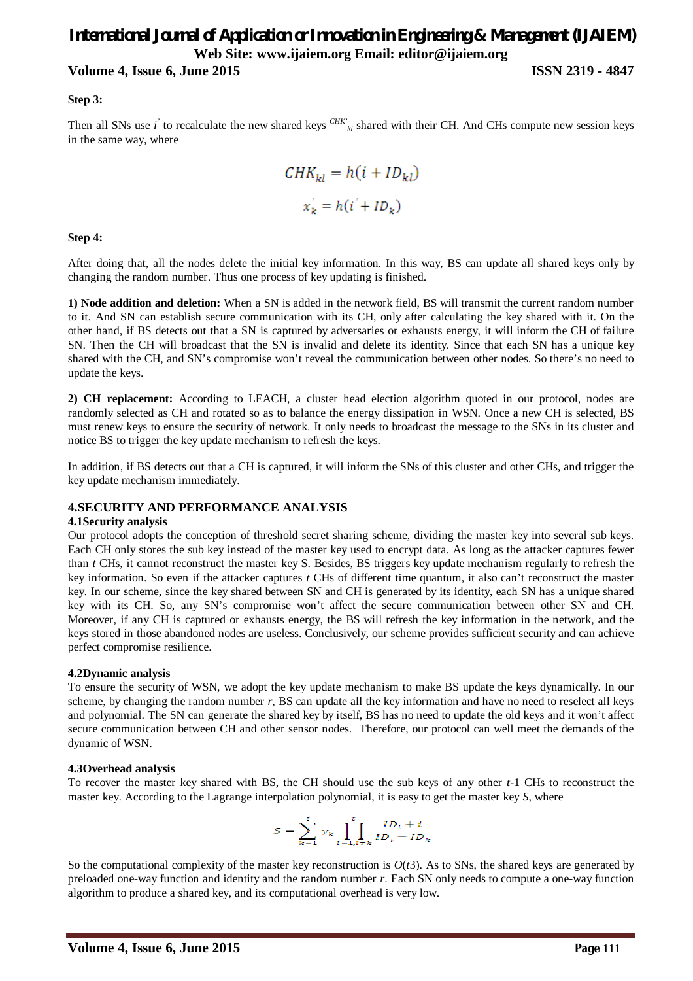#### **Volume 4, Issue 6, June 2015 ISSN 2319 - 4847**

#### **Step 3:**

Then all SNs use *i* to recalculate the new shared keys <sup>CHK'</sup><sub>kl</sub> shared with their CH. And CHs compute new session keys in the same way, where

$$
CHK_{kl} = h(i + ID_{kl})
$$

$$
x'_{k} = h(i' + ID_{k})
$$

#### **Step 4:**

After doing that, all the nodes delete the initial key information. In this way, BS can update all shared keys only by changing the random number. Thus one process of key updating is finished.

**1) Node addition and deletion:** When a SN is added in the network field, BS will transmit the current random number to it. And SN can establish secure communication with its CH, only after calculating the key shared with it. On the other hand, if BS detects out that a SN is captured by adversaries or exhausts energy, it will inform the CH of failure SN. Then the CH will broadcast that the SN is invalid and delete its identity. Since that each SN has a unique key shared with the CH, and SN's compromise won't reveal the communication between other nodes. So there's no need to update the keys.

**2) CH replacement:** According to LEACH, a cluster head election algorithm quoted in our protocol, nodes are randomly selected as CH and rotated so as to balance the energy dissipation in WSN. Once a new CH is selected, BS must renew keys to ensure the security of network. It only needs to broadcast the message to the SNs in its cluster and notice BS to trigger the key update mechanism to refresh the keys.

In addition, if BS detects out that a CH is captured, it will inform the SNs of this cluster and other CHs, and trigger the key update mechanism immediately.

#### **4.SECURITY AND PERFORMANCE ANALYSIS**

#### **4.1Security analysis**

Our protocol adopts the conception of threshold secret sharing scheme, dividing the master key into several sub keys. Each CH only stores the sub key instead of the master key used to encrypt data. As long as the attacker captures fewer than *t* CHs, it cannot reconstruct the master key S. Besides, BS triggers key update mechanism regularly to refresh the key information. So even if the attacker captures *t* CHs of different time quantum, it also can't reconstruct the master key. In our scheme, since the key shared between SN and CH is generated by its identity, each SN has a unique shared key with its CH. So, any SN's compromise won't affect the secure communication between other SN and CH. Moreover, if any CH is captured or exhausts energy, the BS will refresh the key information in the network, and the keys stored in those abandoned nodes are useless. Conclusively, our scheme provides sufficient security and can achieve perfect compromise resilience.

#### **4.2Dynamic analysis**

To ensure the security of WSN, we adopt the key update mechanism to make BS update the keys dynamically. In our scheme, by changing the random number *r*, BS can update all the key information and have no need to reselect all keys and polynomial. The SN can generate the shared key by itself, BS has no need to update the old keys and it won't affect secure communication between CH and other sensor nodes. Therefore, our protocol can well meet the demands of the dynamic of WSN.

#### **4.3Overhead analysis**

To recover the master key shared with BS, the CH should use the sub keys of any other *t-*1 CHs to reconstruct the master key. According to the Lagrange interpolation polynomial, it is easy to get the master key *S*, where

$$
S = \sum_{k=1}^{t} y_k \prod_{l=1, l \neq k}^{t} \frac{ID_l + i}{ID_l - ID_k}
$$

So the computational complexity of the master key reconstruction is  $O(t^2)$ . As to SNs, the shared keys are generated by preloaded one-way function and identity and the random number *r*. Each SN only needs to compute a one-way function algorithm to produce a shared key, and its computational overhead is very low.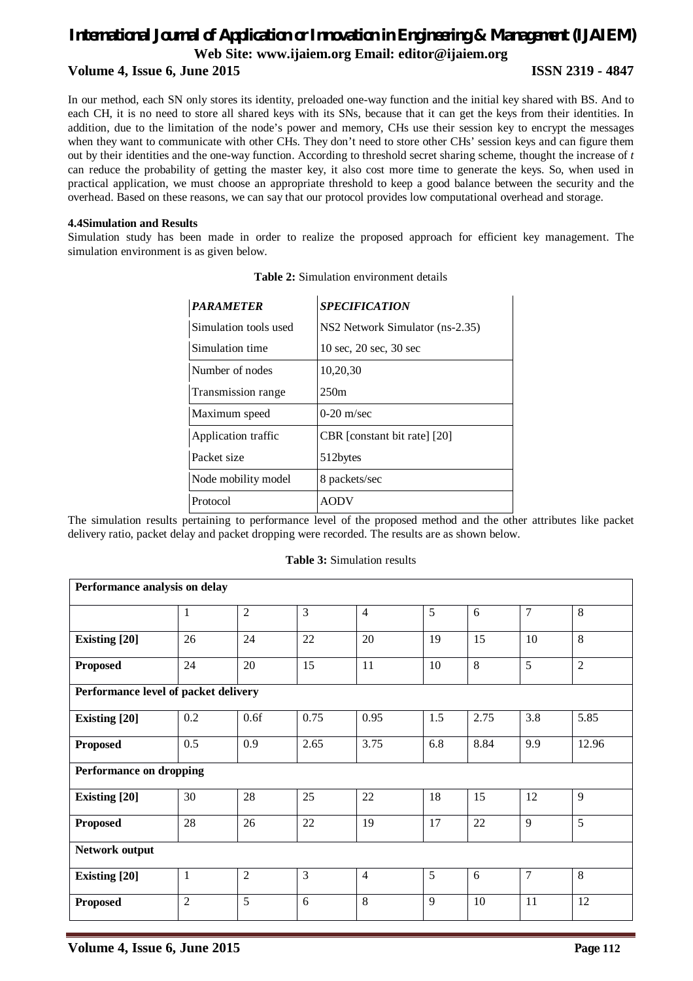### *International Journal of Application or Innovation in Engineering & Management (IJAIEM)* **Web Site: www.ijaiem.org Email: editor@ijaiem.org Volume 4, Issue 6, June 2015 ISSN 2319 - 4847**

In our method, each SN only stores its identity, preloaded one-way function and the initial key shared with BS. And to each CH, it is no need to store all shared keys with its SNs, because that it can get the keys from their identities. In addition, due to the limitation of the node's power and memory, CHs use their session key to encrypt the messages when they want to communicate with other CHs. They don't need to store other CHs' session keys and can figure them out by their identities and the one-way function. According to threshold secret sharing scheme, thought the increase of *t*  can reduce the probability of getting the master key, it also cost more time to generate the keys. So, when used in practical application, we must choose an appropriate threshold to keep a good balance between the security and the overhead. Based on these reasons, we can say that our protocol provides low computational overhead and storage.

#### **4.4Simulation and Results**

Simulation study has been made in order to realize the proposed approach for efficient key management. The simulation environment is as given below.

| <b>PARAMETER</b>      | <b>SPECIFICATION</b>                             |
|-----------------------|--------------------------------------------------|
| Simulation tools used | NS2 Network Simulator (ns-2.35)                  |
| Simulation time       | $10 \text{ sec}, 20 \text{ sec}, 30 \text{ sec}$ |
| Number of nodes       | 10,20,30                                         |
| Transmission range    | 250m                                             |
| Maximum speed         | $0-20$ m/sec                                     |
| Application traffic   | CBR [constant bit rate] [20]                     |
| Packet size           | 512bytes                                         |
| Node mobility model   | 8 packets/sec                                    |
| Protocol              | AODV                                             |

|  | <b>Table 2:</b> Simulation environment details |
|--|------------------------------------------------|
|--|------------------------------------------------|

The simulation results pertaining to performance level of the proposed method and the other attributes like packet delivery ratio, packet delay and packet dropping were recorded. The results are as shown below.

#### **Table 3:** Simulation results

| Performance analysis on delay        |                |                |      |                |     |      |                |                |
|--------------------------------------|----------------|----------------|------|----------------|-----|------|----------------|----------------|
|                                      | 1              | $\overline{2}$ | 3    | $\overline{4}$ | 5   | 6    | $\overline{7}$ | 8              |
| <b>Existing</b> [20]                 | 26             | 24             | 22   | 20             | 19  | 15   | 10             | 8              |
| <b>Proposed</b>                      | 24             | 20             | 15   | 11             | 10  | 8    | 5              | $\overline{2}$ |
| Performance level of packet delivery |                |                |      |                |     |      |                |                |
| <b>Existing</b> [20]                 | 0.2            | 0.6f           | 0.75 | 0.95           | 1.5 | 2.75 | 3.8            | 5.85           |
| <b>Proposed</b>                      | 0.5            | 0.9            | 2.65 | 3.75           | 6.8 | 8.84 | 9.9            | 12.96          |
| <b>Performance on dropping</b>       |                |                |      |                |     |      |                |                |
| <b>Existing [20]</b>                 | 30             | 28             | 25   | 22             | 18  | 15   | 12             | 9              |
| <b>Proposed</b>                      | 28             | 26             | 22   | 19             | 17  | 22   | 9              | 5              |
| Network output                       |                |                |      |                |     |      |                |                |
| <b>Existing [20]</b>                 | 1              | $\overline{2}$ | 3    | $\overline{4}$ | 5   | 6    | $\overline{7}$ | 8              |
| <b>Proposed</b>                      | $\overline{2}$ | 5              | 6    | 8              | 9   | 10   | 11             | 12             |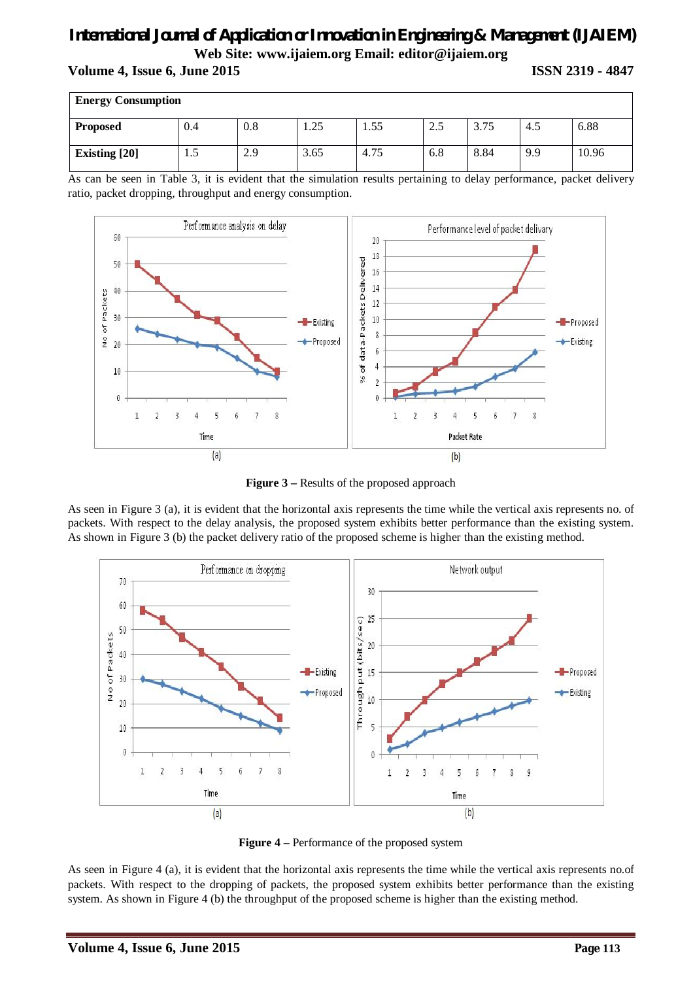#### **Volume 4, Issue 6, June 2015 ISSN 2319 - 4847**

| <b>Energy Consumption</b> |     |     |      |      |     |      |     |       |
|---------------------------|-----|-----|------|------|-----|------|-----|-------|
| <b>Proposed</b>           | 0.4 | 0.8 | 1.25 | 1.55 | 2.5 | 3.75 | 4.5 | 6.88  |
| <b>Existing</b> [20]      | L.5 | 2.9 | 3.65 | 4.75 | 6.8 | 8.84 | 9.9 | 10.96 |

As can be seen in Table 3, it is evident that the simulation results pertaining to delay performance, packet delivery ratio, packet dropping, throughput and energy consumption.



**Figure 3 –** Results of the proposed approach

As seen in Figure 3 (a), it is evident that the horizontal axis represents the time while the vertical axis represents no. of packets. With respect to the delay analysis, the proposed system exhibits better performance than the existing system. As shown in Figure 3 (b) the packet delivery ratio of the proposed scheme is higher than the existing method.



**Figure 4 –** Performance of the proposed system

As seen in Figure 4 (a), it is evident that the horizontal axis represents the time while the vertical axis represents no.of packets. With respect to the dropping of packets, the proposed system exhibits better performance than the existing system. As shown in Figure 4 (b) the throughput of the proposed scheme is higher than the existing method.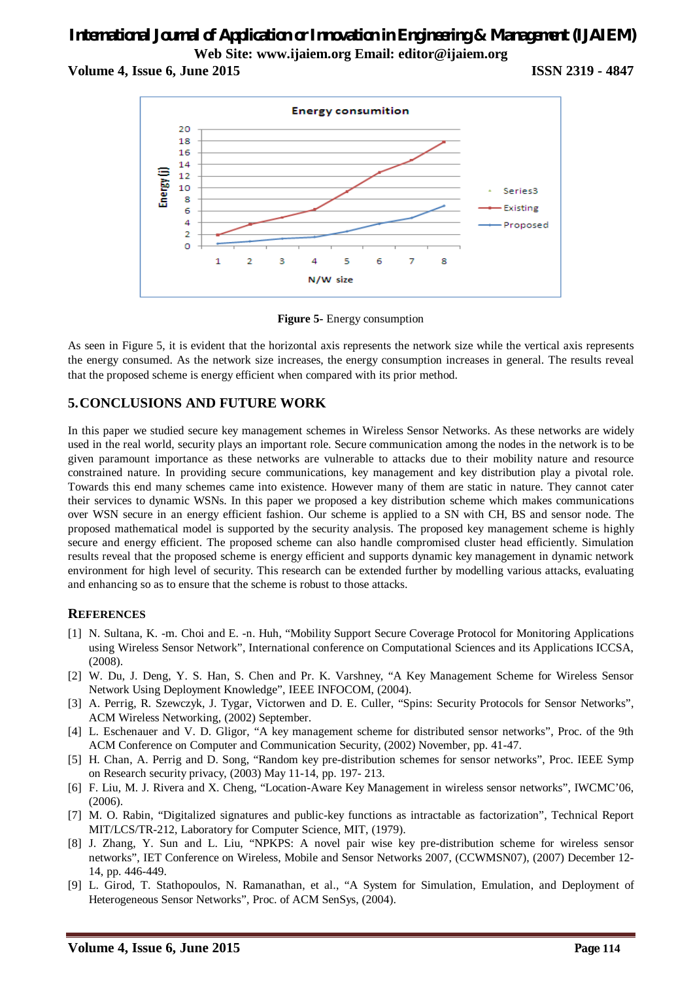**Volume 4, Issue 6, June 2015 ISSN 2319 - 4847**



**Figure 5-** Energy consumption

As seen in Figure 5, it is evident that the horizontal axis represents the network size while the vertical axis represents the energy consumed. As the network size increases, the energy consumption increases in general. The results reveal that the proposed scheme is energy efficient when compared with its prior method.

### **5.CONCLUSIONS AND FUTURE WORK**

In this paper we studied secure key management schemes in Wireless Sensor Networks. As these networks are widely used in the real world, security plays an important role. Secure communication among the nodes in the network is to be given paramount importance as these networks are vulnerable to attacks due to their mobility nature and resource constrained nature. In providing secure communications, key management and key distribution play a pivotal role. Towards this end many schemes came into existence. However many of them are static in nature. They cannot cater their services to dynamic WSNs. In this paper we proposed a key distribution scheme which makes communications over WSN secure in an energy efficient fashion. Our scheme is applied to a SN with CH, BS and sensor node. The proposed mathematical model is supported by the security analysis. The proposed key management scheme is highly secure and energy efficient. The proposed scheme can also handle compromised cluster head efficiently. Simulation results reveal that the proposed scheme is energy efficient and supports dynamic key management in dynamic network environment for high level of security. This research can be extended further by modelling various attacks, evaluating and enhancing so as to ensure that the scheme is robust to those attacks.

#### **REFERENCES**

- [1] N. Sultana, K. -m. Choi and E. -n. Huh, "Mobility Support Secure Coverage Protocol for Monitoring Applications using Wireless Sensor Network", International conference on Computational Sciences and its Applications ICCSA, (2008).
- [2] W. Du, J. Deng, Y. S. Han, S. Chen and Pr. K. Varshney, "A Key Management Scheme for Wireless Sensor Network Using Deployment Knowledge", IEEE INFOCOM, (2004).
- [3] A. Perrig, R. Szewczyk, J. Tygar, Victorwen and D. E. Culler, "Spins: Security Protocols for Sensor Networks", ACM Wireless Networking, (2002) September.
- [4] L. Eschenauer and V. D. Gligor, "A key management scheme for distributed sensor networks", Proc. of the 9th ACM Conference on Computer and Communication Security, (2002) November, pp. 41-47.
- [5] H. Chan, A. Perrig and D. Song, "Random key pre-distribution schemes for sensor networks", Proc. IEEE Symp on Research security privacy, (2003) May 11-14, pp. 197- 213.
- [6] F. Liu, M. J. Rivera and X. Cheng, "Location-Aware Key Management in wireless sensor networks", IWCMC'06, (2006).
- [7] M. O. Rabin, "Digitalized signatures and public-key functions as intractable as factorization", Technical Report MIT/LCS/TR-212, Laboratory for Computer Science, MIT, (1979).
- [8] J. Zhang, Y. Sun and L. Liu, "NPKPS: A novel pair wise key pre-distribution scheme for wireless sensor networks", IET Conference on Wireless, Mobile and Sensor Networks 2007, (CCWMSN07), (2007) December 12- 14, pp. 446-449.
- [9] L. Girod, T. Stathopoulos, N. Ramanathan, et al., "A System for Simulation, Emulation, and Deployment of Heterogeneous Sensor Networks", Proc. of ACM SenSys, (2004).